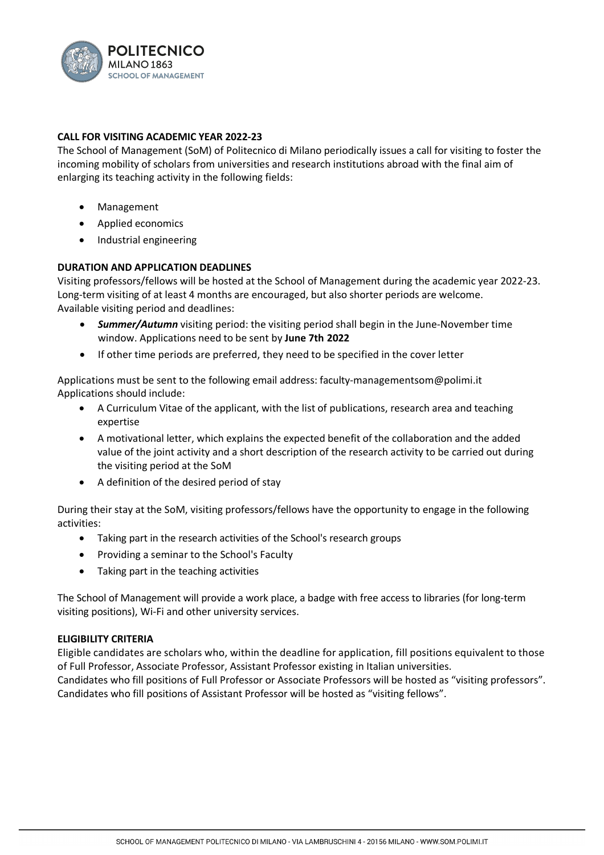

# **CALL FOR VISITING ACADEMIC YEAR 2022-23**

The School of Management (SoM) of Politecnico di Milano periodically issues a call for visiting to foster the incoming mobility of scholars from universities and research institutions abroad with the final aim of enlarging its teaching activity in the following fields:

- Management
- Applied economics
- Industrial engineering

## **DURATION AND APPLICATION DEADLINES**

Visiting professors/fellows will be hosted at the School of Management during the academic year 2022-23. Long-term visiting of at least 4 months are encouraged, but also shorter periods are welcome. Available visiting period and deadlines:

- *Summer/Autumn* visiting period: the visiting period shall begin in the June-November time window. Applications need to be sent by **June 7th 2022**
- If other time periods are preferred, they need to be specified in the cover letter

Applications must be sent to the following email address: faculty-managementsom@polimi.it Applications should include:

- A Curriculum Vitae of the applicant, with the list of publications, research area and teaching expertise
- A motivational letter, which explains the expected benefit of the collaboration and the added value of the joint activity and a short description of the research activity to be carried out during the visiting period at the SoM
- A definition of the desired period of stay

During their stay at the SoM, visiting professors/fellows have the opportunity to engage in the following activities:

- Taking part in the research activities of the School's research groups
- Providing a seminar to the School's Faculty
- Taking part in the teaching activities

The School of Management will provide a work place, a badge with free access to libraries (for long-term visiting positions), Wi-Fi and other university services.

### **ELIGIBILITY CRITERIA**

Eligible candidates are scholars who, within the deadline for application, fill positions equivalent to those of Full Professor, Associate Professor, Assistant Professor existing in Italian universities. Candidates who fill positions of Full Professor or Associate Professors will be hosted as "visiting professors".

Candidates who fill positions of Assistant Professor will be hosted as "visiting fellows".